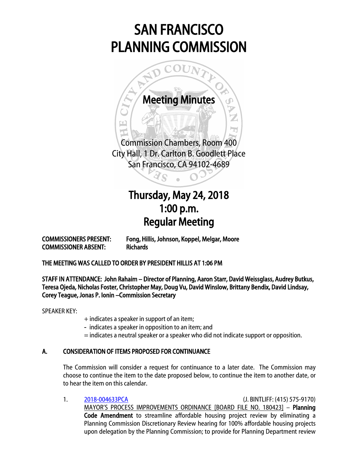# SAN FRANCISCO PLANNING COMMISSION



## Thursday, May 24, 2018 1:00 p.m. Regular Meeting

COMMISSIONER ABSENT: Richards

COMMISSIONERS PRESENT: Fong, Hillis, Johnson, Koppel, Melgar, Moore

THE MEETING WAS CALLED TO ORDER BY PRESIDENT HILLIS AT 1:06 PM

STAFF IN ATTENDANCE: John Rahaim – Director of Planning, Aaron Starr, David Weissglass, Audrey Butkus, Teresa Ojeda, Nicholas Foster, Christopher May, Doug Vu, David Winslow, Brittany Bendix, David Lindsay, Corey Teague, Jonas P. Ionin –Commission Secretary

SPEAKER KEY:

- + indicates a speaker in support of an item;
- indicates a speaker in opposition to an item; and
- = indicates a neutral speaker or a speaker who did not indicate support or opposition.

### A. CONSIDERATION OF ITEMS PROPOSED FOR CONTINUANCE

The Commission will consider a request for continuance to a later date. The Commission may choose to continue the item to the date proposed below, to continue the item to another date, or to hear the item on this calendar.

1. [2018-004633PCA](http://commissions.sfplanning.org/cpcpackets/2018-004633PCA-02.pdf) (J. BINTLIFF: (415) 575-9170) MAYOR'S PROCESS IMPROVEMENTS ORDINANCE [BOARD FILE NO. 180423] – Planning Code Amendment to streamline affordable housing project review by eliminating a Planning Commission Discretionary Review hearing for 100% affordable housing projects upon delegation by the Planning Commission; to provide for Planning Department review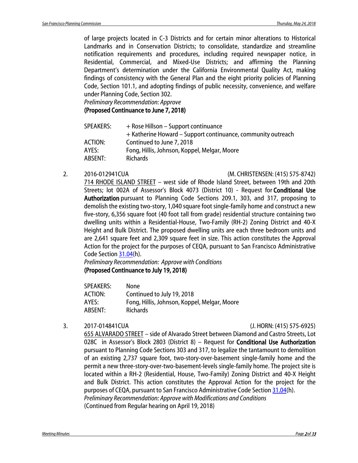of large projects located in C-3 Districts and for certain minor alterations to Historical Landmarks and in Conservation Districts; to consolidate, standardize and streamline notification requirements and procedures, including required newspaper notice, in Residential, Commercial, and Mixed-Use Districts; and affirming the Planning Department's determination under the California Environmental Quality Act, making findings of consistency with the General Plan and the eight priority policies of Planning Code, Section 101.1, and adopting findings of public necessity, convenience, and welfare under Planning Code, Section 302.

*Preliminary Recommendation: Approve*

#### (Proposed Continuance to June 7, 2018)

| SPEAKERS: | + Rose Hillson – Support continuance                         |
|-----------|--------------------------------------------------------------|
|           | + Katherine Howard – Support continuance, community outreach |
| ACTION:   | Continued to June 7, 2018                                    |
| AYES:     | Fong, Hillis, Johnson, Koppel, Melgar, Moore                 |
| ABSENT:   | <b>Richards</b>                                              |

#### 2. 2016-012941CUA (M. CHRISTENSEN: (415) 575-8742)

714 RHODE ISLAND STREET – west side of Rhode Island Street, between 19th and 20th Streets; lot 002A of Assessor's Block 4073 (District 10) - Request for Conditional Use Authorization pursuant to Planning Code Sections 209.1, 303, and 317, proposing to demolish the existing two-story, 1,040 square foot single-family home and construct a new five-story, 6,356 square foot (40 foot tall from grade) residential structure containing two dwelling units within a Residential-House, Two-Family (RH-2) Zoning District and 40-X Height and Bulk District. The proposed dwelling units are each three bedroom units and are 2,641 square feet and 2,309 square feet in size. This action constitutes the Approval Action for the project for the purposes of CEQA, pursuant to San Francisco Administrative Code Sectio[n 31.04\(](http://library.amlegal.com/nxt/gateway.dll/California/administrative/chapter31californiaenvironmentalqualitya?f=templates$fn=default.htm$3.0$vid=amlegal:sanfrancisco_ca$anc=JD_31.04)h).

*Preliminary Recommendation: Approve with Conditions* (Proposed Continuance to July 19, 2018)

| <b>SPEAKERS:</b> | None                                         |
|------------------|----------------------------------------------|
| ACTION:          | Continued to July 19, 2018                   |
| AYES:            | Fong, Hillis, Johnson, Koppel, Melgar, Moore |
| ABSENT:          | <b>Richards</b>                              |

3. 2017-014841CUA (J. HORN: (415) 575-6925)

655 ALVARADO STREET – side of Alvarado Street between Diamond and Castro Streets, Lot 028C in Assessor's Block 2803 (District 8) – Request for Conditional Use Authorization pursuant to Planning Code Sections 303 and 317, to legalize the tantamount to demolition of an existing 2,737 square foot, two-story-over-basement single-family home and the permit a new three-story-over-two-basement-levels single-family home. The project site is located within a RH-2 (Residential, House, Two-Family) Zoning District and 40-X Height and Bulk District. This action constitutes the Approval Action for the project for the purposes of CEQA, pursuant to San Francisco Administrative Code Section [31.04\(](http://library.amlegal.com/nxt/gateway.dll/California/administrative/chapter31californiaenvironmentalqualitya?f=templates$fn=default.htm$3.0$vid=amlegal:sanfrancisco_ca$anc=JD_31.04)h). *Preliminary Recommendation: Approve with Modifications and Conditions* (Continued from Regular hearing on April 19, 2018)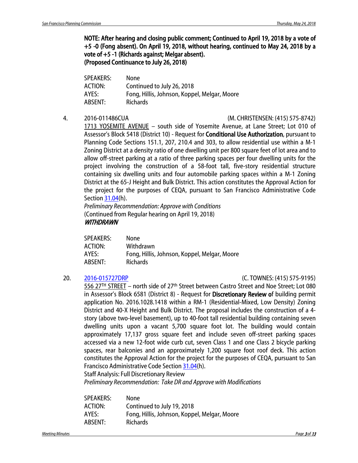NOTE: After hearing and closing public comment; Continued to April 19, 2018 by a vote of +5 -0 (Fong absent). On April 19, 2018, without hearing, continued to May 24, 2018 by a vote of +5 -1 (Richards against; Melgar absent). (Proposed Continuance to July 26, 2018)

| None                                         |
|----------------------------------------------|
| Continued to July 26, 2018                   |
| Fong, Hillis, Johnson, Koppel, Melgar, Moore |
| <b>Richards</b>                              |
|                                              |

#### 4. 2016-011486CUA (M. CHRISTENSEN: (415) 575-8742)

1713 YOSEMITE AVENUE – south side of Yosemite Avenue, at Lane Street; Lot 010 of Assessor's Block 5418 (District 10) - Request for Conditional Use Authorization, pursuant to Planning Code Sections 151.1, 207, 210.4 and 303, to allow residential use within a M-1 Zoning District at a density ratio of one dwelling unit per 800 square feet of lot area and to allow off-street parking at a ratio of three parking spaces per four dwelling units for the project involving the construction of a 58-foot tall, five-story residential structure containing six dwelling units and four automobile parking spaces within a M-1 Zoning District at the 65-J Height and Bulk District. This action constitutes the Approval Action for the project for the purposes of CEQA, pursuant to San Francisco Administrative Code Sectio[n 31.04\(](http://library.amlegal.com/nxt/gateway.dll/California/administrative/chapter31californiaenvironmentalqualitya?f=templates$fn=default.htm$3.0$vid=amlegal:sanfrancisco_ca$anc=JD_31.04)h).

*Preliminary Recommendation: Approve with Conditions* (Continued from Regular hearing on April 19, 2018) **WITHDRAWN** 

| SPEAKERS:      | None                                         |
|----------------|----------------------------------------------|
| <b>ACTION:</b> | Withdrawn                                    |
| AYES:          | Fong, Hillis, Johnson, Koppel, Melgar, Moore |
| ABSENT:        | <b>Richards</b>                              |

### 20. [2016-015727DRP](http://commissions.sfplanning.org/cpcpackets/2016-015727DRP-02.pdf) (C. TOWNES: (415) 575-9195)

556 27<sup>TH</sup> STREET - north side of 27<sup>th</sup> Street between Castro Street and Noe Street; Lot 080 in Assessor's Block 6581 (District 8) - Request for Discretionary Review of building permit application No. 2016.1028.1418 within a RM-1 (Residential-Mixed, Low Density) Zoning District and 40-X Height and Bulk District. The proposal includes the construction of a 4 story (above two-level basement), up to 40-foot tall residential building containing seven dwelling units upon a vacant 5,700 square foot lot. The building would contain approximately 17,137 gross square feet and include seven off-street parking spaces accessed via a new 12-foot wide curb cut, seven Class 1 and one Class 2 bicycle parking spaces, rear balconies and an approximately 1,200 square foot roof deck. This action constitutes the Approval Action for the project for the purposes of CEQA, pursuant to San Francisco Administrative Code Section [31.04\(](http://library.amlegal.com/nxt/gateway.dll/California/administrative/chapter31californiaenvironmentalqualitya?f=templates$fn=default.htm$3.0$vid=amlegal:sanfrancisco_ca$anc=JD_31.04)h).

Staff Analysis: Full Discretionary Review

*Preliminary Recommendation: Take DR and Approve with Modifications*

| <b>SPEAKERS:</b> | None                                         |
|------------------|----------------------------------------------|
| <b>ACTION:</b>   | Continued to July 19, 2018                   |
| AYES:            | Fong, Hillis, Johnson, Koppel, Melgar, Moore |
| ABSENT:          | <b>Richards</b>                              |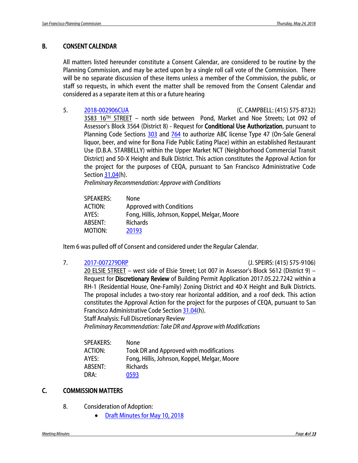### B. CONSENT CALENDAR

All matters listed hereunder constitute a Consent Calendar, are considered to be routine by the Planning Commission, and may be acted upon by a single roll call vote of the Commission. There will be no separate discussion of these items unless a member of the Commission, the public, or staff so requests, in which event the matter shall be removed from the Consent Calendar and considered as a separate item at this or a future hearing

5. [2018-002906CUA](http://commissions.sfplanning.org/cpcpackets/2018-002906CUA.pdf) (C. CAMPBELL: (415) 575-8732)

3583 16TH STREET – north side between Pond, Market and Noe Streets; Lot 092 of Assessor's Block 3564 (District 8) - Request for Conditional Use Authorization, pursuant to Planning Code Sections [303](http://library.amlegal.com/nxt/gateway.dll/California/planning/article3zoningprocedures?f=templates$fn=default.htm$3.0$vid=amlegal:sanfrancisco_ca$anc=JD_303) and [764](http://library.amlegal.com/nxt/gateway.dll/California/planning/article7neighborhoodcommercialdistricts?f=templates$fn=default.htm$3.0$vid=amlegal:sanfrancisco_ca$anc=JD_764) to authorize ABC license Type 47 (On-Sale General liquor, beer, and wine for Bona Fide Public Eating Place) within an established Restaurant Use (D.B.A. STARBELLY) within the Upper Market NCT (Neighborhood Commercial Transit District) and 50‐X Height and Bulk District. This action constitutes the Approval Action for the project for the purposes of CEQA, pursuant to San Francisco Administrative Code Sectio[n 31.04\(](http://library.amlegal.com/nxt/gateway.dll/California/administrative/chapter31californiaenvironmentalqualitya?f=templates$fn=default.htm$3.0$vid=amlegal:sanfrancisco_ca$anc=JD_31.04)h).

*Preliminary Recommendation: Approve with Conditions*

| SPEAKERS: | None                                         |
|-----------|----------------------------------------------|
| ACTION:   | <b>Approved with Conditions</b>              |
| AYES:     | Fong, Hillis, Johnson, Koppel, Melgar, Moore |
| ABSENT:   | <b>Richards</b>                              |
| MOTION:   | 20193                                        |
|           |                                              |

Item 6 was pulled off of Consent and considered under the Regular Calendar.

7. [2017-007279DRP](http://commissions.sfplanning.org/cpcpackets/2017-007279DRP.pdf) (J. SPEIRS: (415) 575-9106)

20 ELSIE STREET – west side of Elsie Street; Lot 007 in Assessor's Block 5612 (District 9) – Request for Discretionary Review of Building Permit Application 2017.05.22.7242 within a RH-1 (Residential House, One-Family) Zoning District and 40-X Height and Bulk Districts. The proposal includes a two-story rear horizontal addition, and a roof deck. This action constitutes the Approval Action for the project for the purposes of CEQA, pursuant to San Francisco Administrative Code Section [31.04\(](http://library.amlegal.com/nxt/gateway.dll/California/administrative/chapter31californiaenvironmentalqualitya?f=templates$fn=default.htm$3.0$vid=amlegal:sanfrancisco_ca$anc=JD_31.04)h). Staff Analysis: Full Discretionary Review

*Preliminary Recommendation: Take DR and Approve with Modifications*

| <b>SPEAKERS:</b> | <b>None</b>                                  |
|------------------|----------------------------------------------|
| ACTION:          | Took DR and Approved with modifications      |
| AYES:            | Fong, Hillis, Johnson, Koppel, Melgar, Moore |
| ABSENT:          | <b>Richards</b>                              |
| DRA:             | 0593                                         |

### C. COMMISSION MATTERS

- 8. Consideration of Adoption:
	- [Draft Minutes for May 10,](http://commissions.sfplanning.org/cpcpackets/20180510_cal_min.pdf) 2018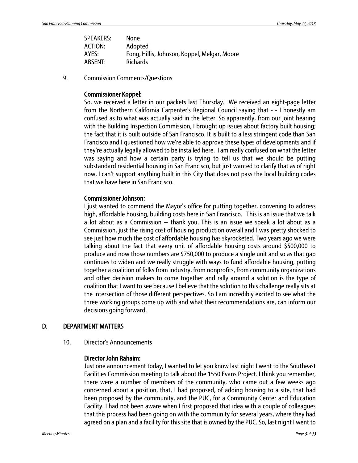| SPEAKERS:      | None                                         |
|----------------|----------------------------------------------|
| <b>ACTION:</b> | Adopted                                      |
| AYES:          | Fong, Hillis, Johnson, Koppel, Melgar, Moore |
| ABSENT:        | <b>Richards</b>                              |

9. Commission Comments/Questions

### Commissioner Koppel:

So, we received a letter in our packets last Thursday. We received an eight-page letter from the Northern California Carpenter's Regional Council saying that - - I honestly am confused as to what was actually said in the letter. So apparently, from our joint hearing with the Building Inspection Commission, I brought up issues about factory built housing; the fact that it is built outside of San Francisco. It is built to a less stringent code than San Francisco and I questioned how we're able to approve these types of developments and if they're actually legally allowed to be installed here. I am really confused on what the letter was saying and how a certain party is trying to tell us that we should be putting substandard residential housing in San Francisco, but just wanted to clarify that as of right now, I can't support anything built in this City that does not pass the local building codes that we have here in San Francisco.

### Commissioner Johnson:

I just wanted to commend the Mayor's office for putting together, convening to address high, affordable housing, building costs here in San Francisco. This is an issue that we talk a lot about as a Commission -- thank you. This is an issue we speak a lot about as a Commission, just the rising cost of housing production overall and I was pretty shocked to see just how much the cost of affordable housing has skyrocketed. Two years ago we were talking about the fact that every unit of affordable housing costs around \$500,000 to produce and now those numbers are \$750,000 to produce a single unit and so as that gap continues to widen and we really struggle with ways to fund affordable housing, putting together a coalition of folks from industry, from nonprofits, from community organizations and other decision makers to come together and rally around a solution is the type of coalition that I want to see because I believe that the solution to this challenge really sits at the intersection of those different perspectives. So I am incredibly excited to see what the three working groups come up with and what their recommendations are, can inform our decisions going forward.

### D. DEPARTMENT MATTERS

10. Director's Announcements

### Director John Rahaim:

Just one announcement today, I wanted to let you know last night I went to the Southeast Facilities Commission meeting to talk about the 1550 Evans Project. I think you remember, there were a number of members of the community, who came out a few weeks ago concerned about a position, that, I had proposed, of adding housing to a site, that had been proposed by the community, and the PUC, for a Community Center and Education Facility. I had not been aware when I first proposed that idea with a couple of colleagues that this process had been going on with the community for several years, where they had agreed on a plan and a facility for this site that is owned by the PUC. So, last night I went to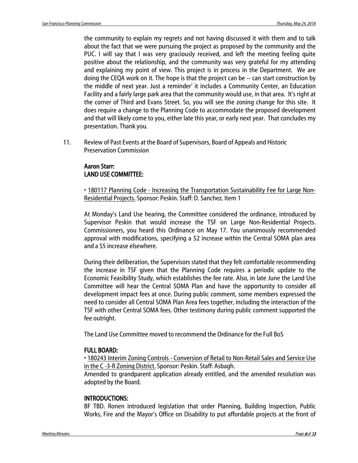the community to explain my regrets and not having discussed it with them and to talk about the fact that we were pursuing the project as proposed by the community and the PUC. I will say that I was very graciously received, and left the meeting feeling quite positive about the relationship, and the community was very grateful for my attending and explaining my point of view. This project is in process in the Department. We are doing the CEQA work on it. The hope is that the project can be -- can start construction by the middle of next year. Just a reminder' it includes a Community Center, an Education Facility and a fairly large park area that the community would use, in that area. It's right at the corner of Third and Evans Street. So, you will see the zoning change for this site. It does require a change to the Planning Code to accommodate the proposed development and that will likely come to you, either late this year, or early next year. That concludes my presentation. Thank you.

11. Review of Past Events at the Board of Supervisors, Board of Appeals and Historic Preservation Commission

### Aaron Starr: LAND USE COMMITTEE:

• 180117 Planning Code - Increasing the Transportation Sustainability Fee for Large Non-Residential Projects. Sponsor: Peskin. Staff: D. Sanchez. Item 1

At Monday's Land Use hearing, the Committee considered the ordinance, introduced by Supervisor Peskin that would increase the TSF on Large Non-Residential Projects. Commissioners, you heard this Ordinance on May 17. You unanimously recommended approval with modifications, specifying a \$2 increase within the Central SOMA plan area and a \$5 increase elsewhere.

During their deliberation, the Supervisors stated that they felt comfortable recommending the increase in TSF given that the Planning Code requires a periodic update to the Economic Feasibility Study, which establishes the fee rate. Also, in late June the Land Use Committee will hear the Central SOMA Plan and have the opportunity to consider all development impact fees at once. During public comment, some members expressed the need to consider all Central SOMA Plan Area fees together, including the interaction of the TSF with other Central SOMA fees. Other testimony during public comment supported the fee outright.

The Land Use Committee moved to recommend the Ordinance for the Full BoS

### FULL BOARD:

• 180243 Interim Zoning Controls - Conversion of Retail to Non-Retail Sales and Service Use in the C -3-R Zoning District. Sponsor: Peskin. Staff: Asbagh.

Amended to grandparent application already entitled, and the amended resolution was adopted by the Board.

### INTRODUCTIONS:

BF TBD. Ronen introduced legislation that order Planning, Building Inspection, Public Works, Fire and the Mayor's Office on Disability to put affordable projects at the front of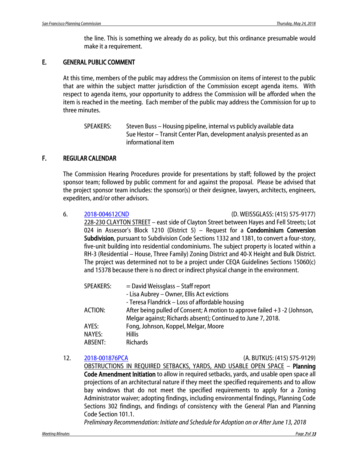the line. This is something we already do as policy, but this ordinance presumable would make it a requirement.

### E. GENERAL PUBLIC COMMENT

At this time, members of the public may address the Commission on items of interest to the public that are within the subject matter jurisdiction of the Commission except agenda items. With respect to agenda items, your opportunity to address the Commission will be afforded when the item is reached in the meeting. Each member of the public may address the Commission for up to three minutes.

SPEAKERS: Steven Buss – Housing pipeline, internal vs publicly available data Sue Hestor – Transit Center Plan, development analysis presented as an informational item

### F. REGULAR CALENDAR

The Commission Hearing Procedures provide for presentations by staff; followed by the project sponsor team; followed by public comment for and against the proposal. Please be advised that the project sponsor team includes: the sponsor(s) or their designee, lawyers, architects, engineers, expediters, and/or other advisors.

6. [2018-004612CND](http://commissions.sfplanning.org/cpcpackets/2018-004612CND.pdf) (D. WEISSGLASS: (415) 575-9177)

228-230 CLAYTON STREET – east side of Clayton Street between Hayes and Fell Streets; Lot 024 in Assessor's Block 1210 (District 5) – Request for a **Condominium Conversion** Subdivision, pursuant to Subdivision Code Sections 1332 and 1381, to convert a four-story, five-unit building into residential condominiums. The subject property is located within a RH-3 (Residential – House, Three Family) Zoning District and 40-X Height and Bulk District. The project was determined not to be a project under CEQA Guidelines Sections 15060(c) and 15378 because there is no direct or indirect physical change in the environment.

| <b>SPEAKERS:</b> | $=$ David Weissglass $-$ Staff report                                       |
|------------------|-----------------------------------------------------------------------------|
|                  | - Lisa Aubrey – Owner, Ellis Act evictions                                  |
|                  | - Teresa Flandrick - Loss of affordable housing                             |
| ACTION:          | After being pulled of Consent; A motion to approve failed $+3 -2$ (Johnson, |
|                  | Melgar against; Richards absent); Continued to June 7, 2018.                |
| AYES:            | Fong, Johnson, Koppel, Melgar, Moore                                        |
| NAYES:           | <b>Hillis</b>                                                               |
| ABSENT:          | <b>Richards</b>                                                             |

12. [2018-001876PCA](http://commissions.sfplanning.org/cpcpackets/2018-001876PCA.pdf) (A. BUTKUS: (415) 575-9129)

OBSTRUCTIONS IN REQUIRED SETBACKS, YARDS, AND USABLE OPEN SPACE – Planning Code Amendment Initiation to allow in required setbacks, yards, and usable open space all projections of an architectural nature if they meet the specified requirements and to allow bay windows that do not meet the specified requirements to apply for a Zoning Administrator waiver; adopting findings, including environmental findings, Planning Code Sections 302 findings, and findings of consistency with the General Plan and Planning Code Section 101.1.

*Preliminary Recommendation: Initiate and Schedule for Adoption on or After June 13, 2018*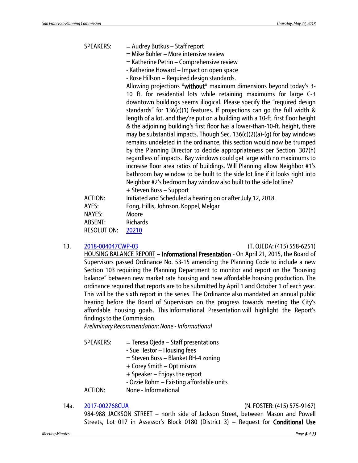SPEAKERS: = Audrey Butkus - Staff report

- = Mike Buhler More intensive review
- = Katherine Petrin Comprehensive review
- Katherine Howard Impact on open space
- Rose Hillson Required design standards.

Allowing projections \*without\* maximum dimensions beyond today's 3-10 ft. for residential lots while retaining maximums for large C-3 downtown buildings seems illogical. Please specify the "required design standards" for 136(c)(1) features. If projections can go the full width & length of a lot, and they're put on a building with a 10-ft. first floor height & the adjoining building's first floor has a lower-than-10-ft. height, there may be substantial impacts. Though Sec. 136(c)(2)(a)-(g) for bay windows remains undeleted in the ordinance, this section would now be trumped by the Planning Director to decide appropriateness per Section 307(h) regardless of impacts. Bay windows could get large with no maximums to increase floor area ratios of buildings. Will Planning allow Neighbor #1's bathroom bay window to be built to the side lot line if it looks right into Neighbor #2's bedroom bay window also built to the side lot line?

|                    | + Steven Buss – Support                                      |
|--------------------|--------------------------------------------------------------|
| ACTION:            | Initiated and Scheduled a hearing on or after July 12, 2018. |
| AYES:              | Fong, Hillis, Johnson, Koppel, Melgar                        |
| NAYES:             | Moore                                                        |
| ABSENT:            | <b>Richards</b>                                              |
| <b>RESOLUTION:</b> | 20210                                                        |
|                    |                                                              |

#### 13. [2018-004047CWP-03](http://commissions.sfplanning.org/cpcpackets/2018-004047CWP-03.pdf) (T. OJEDA: (415) 558-6251)

HOUSING BALANCE REPORT – Informational Presentation - On April 21, 2015, the Board of Supervisors passed Ordinance No. 53-15 amending the Planning Code to include a new Section 103 requiring the Planning Department to monitor and report on the "housing balance" between new market rate housing and new affordable housing production. The ordinance required that reports are to be submitted by April 1 and October 1 of each year. This will be the sixth report in the series. The Ordinance also mandated an annual public hearing before the Board of Supervisors on the progress towards meeting the City's affordable housing goals. This Informational Presentation will highlight the Report's findings to the Commission.

*Preliminary Recommendation: None - Informational*

- $SPEAKERS: = Teresa Ojeda Staff presentations$ - Sue Hestor – Housing fees = Steven Buss – Blanket RH-4 zoning + Corey Smith – Optimisms + Speaker – Enjoys the report - Ozzie Rohm – Existing affordable units ACTION: None - Informational
- 

#### 14a. [2017-002768CUA](http://commissions.sfplanning.org/cpcpackets/2017-002768CUASHDVAR.pdf) (N. FOSTER: (415) 575-9167)

984-988 JACKSON STREET – north side of Jackson Street, between Mason and Powell Streets, Lot 017 in Assessor's Block 0180 (District 3) – Request for Conditional Use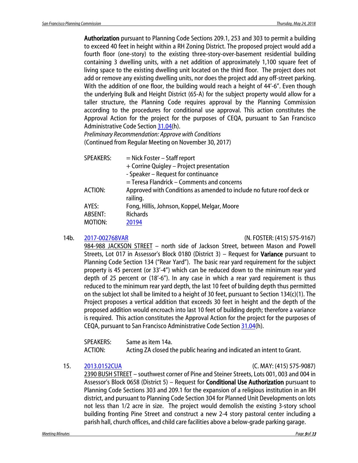Authorization pursuant to Planning Code Sections 209.1, 253 and 303 to permit a building to exceed 40 feet in height within a RH Zoning District. The proposed project would add a fourth floor (one-story) to the existing three-story-over-basement residential building containing 3 dwelling units, with a net addition of approximately 1,100 square feet of living space to the existing dwelling unit located on the third floor. The project does not add or remove any existing dwelling units, nor does the project add any off-street parking. With the addition of one floor, the building would reach a height of 44'-6". Even though the underlying Bulk and Height District (65-A) for the subject property would allow for a taller structure, the Planning Code requires approval by the Planning Commission according to the procedures for conditional use approval. This action constitutes the Approval Action for the project for the purposes of CEQA, pursuant to San Francisco Administrative Code Section [31.04\(](http://library.amlegal.com/nxt/gateway.dll/California/administrative/chapter31californiaenvironmentalqualitya?f=templates$fn=default.htm$3.0$vid=amlegal:sanfrancisco_ca$anc=JD_31.04)h).

*Preliminary Recommendation: Approve with Conditions* (Continued from Regular Meeting on November 30, 2017)

| $=$ Nick Foster – Staff report                                        |
|-----------------------------------------------------------------------|
| + Corrine Quigley - Project presentation                              |
| - Speaker - Request for continuance                                   |
| = Teresa Flandrick – Comments and concerns                            |
| Approved with Conditions as amended to include no future roof deck or |
| railing.                                                              |
| Fong, Hillis, Johnson, Koppel, Melgar, Moore                          |
| <b>Richards</b>                                                       |
| 20194                                                                 |
|                                                                       |

14b. [2017-002768VAR](http://commissions.sfplanning.org/cpcpackets/2017-002768CUASHDVAR.pdf) (N. FOSTER: (415) 575-9167)

984-988 JACKSON STREET – north side of Jackson Street, between Mason and Powell Streets, Lot 017 in Assessor's Block 0180 (District 3) – Request for Variance pursuant to Planning Code Section 134 ("Rear Yard"). The basic rear yard requirement for the subject property is 45 percent (or 33'-4") which can be reduced down to the minimum rear yard depth of 25 percent or (18'-6"). In any case in which a rear yard requirement is thus reduced to the minimum rear yard depth, the last 10 feet of building depth thus permitted on the subject lot shall be limited to a height of 30 feet, pursuant to Section 134(c)(1). The Project proposes a vertical addition that exceeds 30 feet in height and the depth of the proposed addition would encroach into last 10 feet of building depth; therefore a variance is required. This action constitutes the Approval Action for the project for the purposes of CEQA, pursuant to San Francisco Administrative Code Sectio[n 31.04\(](http://library.amlegal.com/nxt/gateway.dll/California/administrative/chapter31californiaenvironmentalqualitya?f=templates$fn=default.htm$3.0$vid=amlegal:sanfrancisco_ca$anc=JD_31.04)h).

| SPEAKERS: | Same as item 14a.                                                     |
|-----------|-----------------------------------------------------------------------|
| ACTION:   | Acting ZA closed the public hearing and indicated an intent to Grant. |

15. [2013.0152CUA](http://commissions.sfplanning.org/cpcpackets/2013.0152CUA.pdf) (C. MAY: (415) 575-9087)

2390 BUSH STREET – southwest corner of Pine and Steiner Streets, Lots 001, 003 and 004 in Assessor's Block 0658 (District 5) – Request for Conditional Use Authorization pursuant to Planning Code Sections 303 and 209.1 for the expansion of a religious institution in an RH district, and pursuant to Planning Code Section 304 for Planned Unit Developments on lots not less than 1/2 acre in size. The project would demolish the existing 3-story school building fronting Pine Street and construct a new 2-4 story pastoral center including a parish hall, church offices, and child care facilities above a below-grade parking garage.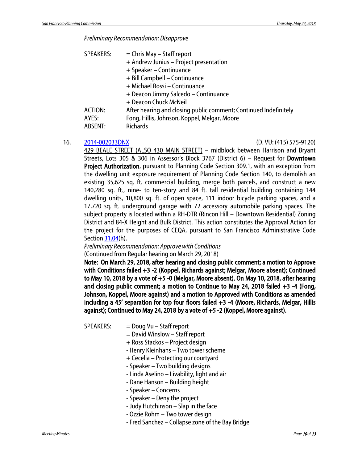*Preliminary Recommendation: Disapprove*

| <b>SPEAKERS:</b> | $=$ Chris May $-$ Staff report                                   |
|------------------|------------------------------------------------------------------|
|                  | + Andrew Junius - Project presentation                           |
|                  | + Speaker - Continuance                                          |
|                  | + Bill Campbell - Continuance                                    |
|                  | + Michael Rossi - Continuance                                    |
|                  | + Deacon Jimmy Salcedo - Continuance                             |
|                  | + Deacon Chuck McNeil                                            |
| ACTION:          | After hearing and closing public comment; Continued Indefinitely |
| AYES:            | Fong, Hillis, Johnson, Koppel, Melgar, Moore                     |
| ABSENT:          | Richards                                                         |

#### 16. [2014-002033DNX](http://commissions.sfplanning.org/cpcpackets/2014-002033DNXc1.pdf) (D. VU: (415) 575-9120)

429 BEALE STREET (ALSO 430 MAIN STREET) – midblock between Harrison and Bryant Streets, Lots 305 & 306 in Assessor's Block 3767 (District 6) – Request for Downtown Project Authorization, pursuant to Planning Code Section 309.1, with an exception from the dwelling unit exposure requirement of Planning Code Section 140, to demolish an existing 35,625 sq. ft. commercial building, merge both parcels, and construct a new 140,280 sq. ft., nine- to ten-story and 84 ft. tall residential building containing 144 dwelling units, 10,800 sq. ft. of open space, 111 indoor bicycle parking spaces, and a 17,720 sq. ft. underground garage with 72 accessory automobile parking spaces. The subject property is located within a RH-DTR (Rincon Hill – Downtown Residential) Zoning District and 84-X Height and Bulk District. This action constitutes the Approval Action for the project for the purposes of CEQA, pursuant to San Francisco Administrative Code Sectio[n 31.04\(](http://library.amlegal.com/nxt/gateway.dll/California/administrative/chapter31californiaenvironmentalqualitya?f=templates$fn=default.htm$3.0$vid=amlegal:sanfrancisco_ca$anc=JD_31.04)h).

### *Preliminary Recommendation: Approve with Conditions*

(Continued from Regular hearing on March 29, 2018)

Note: On March 29, 2018, after hearing and closing public comment; a motion to Approve with Conditions failed +3 -2 (Koppel, Richards against; Melgar, Moore absent); Continued to May 10, 2018 by a vote of +5 -0 (Melgar, Moore absent). On May 10, 2018, after hearing and closing public comment; a motion to Continue to May 24, 2018 failed +3 -4 (Fong, Johnson, Koppel, Moore against) and a motion to Approved with Conditions as amended including a 45' separation for top four floors failed +3 -4 (Moore, Richards, Melgar, Hillis against); Continued to May 24, 2018 by a vote of +5 -2 (Koppel, Moore against).

- $SPEAKERS:$  = Doug Vu Staff report
	- = David Winslow Staff report
	- + Ross Stackos Project design
	- Henry Kleinhans Two tower scheme
	- + Cecelia Protecting our courtyard
	- Speaker Two building designs
	- Linda Aselino Livability, light and air
	- Dane Hanson Building height
	- Speaker Concerns
	- Speaker Deny the project
	- Judy Hutchinson Slap in the face
	- Ozzie Rohm Two tower design
	- Fred Sanchez Collapse zone of the Bay Bridge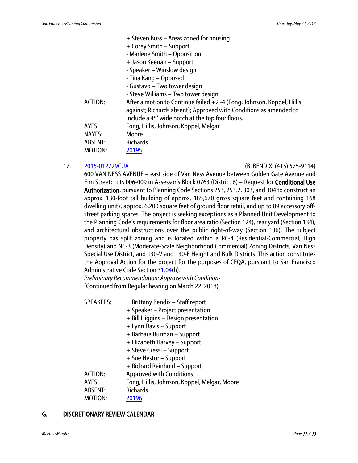|                | + Steven Buss - Areas zoned for housing                                                                                                                                                         |
|----------------|-------------------------------------------------------------------------------------------------------------------------------------------------------------------------------------------------|
|                | + Corey Smith – Support                                                                                                                                                                         |
|                | - Marlene Smith - Opposition                                                                                                                                                                    |
|                | + Jason Keenan – Support                                                                                                                                                                        |
|                | - Speaker - Winslow design                                                                                                                                                                      |
|                | - Tina Kang – Opposed                                                                                                                                                                           |
|                | - Gustavo – Two tower design                                                                                                                                                                    |
|                | - Steve Williams – Two tower design                                                                                                                                                             |
| <b>ACTION:</b> | After a motion to Continue failed +2 -4 (Fong, Johnson, Koppel, Hillis<br>against; Richards absent); Approved with Conditions as amended to<br>include a 45' wide notch at the top four floors. |
| AYES:          | Fong, Hillis, Johnson, Koppel, Melgar                                                                                                                                                           |
| <b>NAYES:</b>  | Moore                                                                                                                                                                                           |
| ABSENT:        | <b>Richards</b>                                                                                                                                                                                 |
| MOTION:        | 20195                                                                                                                                                                                           |

#### 17. [2015-012729CUA](http://commissions.sfplanning.org/cpcpackets/2015-012729CUAc1.pdf) (B. BENDIX: (415) 575-9114)

600 VAN NESS AVENUE – east side of Van Ness Avenue between Golden Gate Avenue and Elm Street; Lots 006-009 in Assessor's Block 0763 (District 6) – Request for Conditional Use Authorization, pursuant to Planning Code Sections 253, 253.2, 303, and 304 to construct an approx. 130-foot tall building of approx. 185,670 gross square feet and containing 168 dwelling units, approx. 6,200 square feet of ground floor retail, and up to 89 accessory offstreet parking spaces. The project is seeking exceptions as a Planned Unit Development to the Planning Code's requirements for floor area ratio (Section 124), rear yard (Section 134), and architectural obstructions over the public right-of-way (Section 136). The subject property has split zoning and is located within a RC-4 (Residential-Commercial, High Density) and NC-3 (Moderate-Scale Neighborhood Commercial) Zoning Districts, Van Ness Special Use District, and 130-V and 130-E Height and Bulk Districts. This action constitutes the Approval Action for the project for the purposes of CEQA, pursuant to San Francisco Administrative Code Section [31.04\(](http://library.amlegal.com/nxt/gateway.dll/California/administrative/chapter31californiaenvironmentalqualitya?f=templates$fn=default.htm$3.0$vid=amlegal:sanfrancisco_ca$anc=JD_31.04)h).

*Preliminary Recommendation: Approve with Conditions*  (Continued from Regular hearing on March 22, 2018)

| <b>SPEAKERS:</b> | = Brittany Bendix - Staff report             |
|------------------|----------------------------------------------|
|                  | + Speaker - Project presentation             |
|                  | + Bill Higgins - Design presentation         |
|                  | + Lynn Davis - Support                       |
|                  | + Barbara Burman – Support                   |
|                  | + Elizabeth Harvey – Support                 |
|                  | + Steve Cressi – Support                     |
|                  | + Sue Hestor – Support                       |
|                  | + Richard Reinhold – Support                 |
| <b>ACTION:</b>   | <b>Approved with Conditions</b>              |
| AYES:            | Fong, Hillis, Johnson, Koppel, Melgar, Moore |
| <b>ABSENT:</b>   | <b>Richards</b>                              |
| MOTION:          | 20196                                        |

### G. DISCRETIONARY REVIEW CALENDAR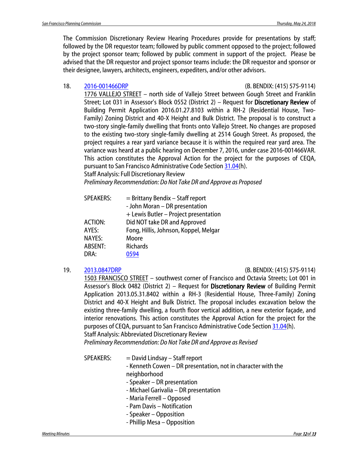The Commission Discretionary Review Hearing Procedures provide for presentations by staff; followed by the DR requestor team; followed by public comment opposed to the project; followed by the project sponsor team; followed by public comment in support of the project. Please be advised that the DR requestor and project sponsor teams include: the DR requestor and sponsor or their designee, lawyers, architects, engineers, expediters, and/or other advisors.

#### 18. [2016-001466DRP](http://commissions.sfplanning.org/cpcpackets/2016-001466DRP.pdf) (B. BENDIX: (415) 575-9114)

1776 VALLEJO STREET – north side of Vallejo Street between Gough Street and Franklin Street; Lot 031 in Assessor's Block 0552 (District 2) – Request for Discretionary Review of Building Permit Application 2016.01.27.8103 within a RH-2 (Residential House, Two-Family) Zoning District and 40-X Height and Bulk District. The proposal is to construct a two-story single-family dwelling that fronts onto Vallejo Street. No changes are proposed to the existing two-story single-family dwelling at 2514 Gough Street. As proposed, the project requires a rear yard variance because it is within the required rear yard area. The variance was heard at a public hearing on December 7, 2016, under case 2016-001466VAR. This action constitutes the Approval Action for the project for the purposes of CEQA, pursuant to San Francisco Administrative Code Section [31.04\(](http://library.amlegal.com/nxt/gateway.dll/California/administrative/chapter31californiaenvironmentalqualitya?f=templates$fn=default.htm$3.0$vid=amlegal:sanfrancisco_ca$anc=JD_31.04)h).

Staff Analysis: Full Discretionary Review

*Preliminary Recommendation: Do Not Take DR and Approve as Proposed*

| $=$ Brittany Bendix $-$ Staff report  |
|---------------------------------------|
| - John Moran - DR presentation        |
| + Lewis Butler - Project presentation |
| Did NOT take DR and Approved          |
| Fong, Hillis, Johnson, Koppel, Melgar |
| Moore                                 |
| <b>Richards</b>                       |
|                                       |
|                                       |

#### 19. [2013.0847DRP](http://commissions.sfplanning.org/cpcpackets/2013.0847DRP.pdf) (B. BENDIX: (415) 575-9114)

1503 FRANCISCO STREET – southwest corner of Francisco and Octavia Streets; Lot 001 in Assessor's Block 0482 (District 2) – Request for Discretionary Review of Building Permit Application 2013.05.31.8402 within a RH-3 (Residential House, Three-Family) Zoning District and 40-X Height and Bulk District. The proposal includes excavation below the existing three-family dwelling, a fourth floor vertical addition, a new exterior façade, and interior renovations. This action constitutes the Approval Action for the project for the purposes of CEQA, pursuant to San Francisco Administrative Code Section [31.04\(](http://library.amlegal.com/nxt/gateway.dll/California/administrative/chapter31californiaenvironmentalqualitya?f=templates$fn=default.htm$3.0$vid=amlegal:sanfrancisco_ca$anc=JD_31.04)h). Staff Analysis: Abbreviated Discretionary Review

*Preliminary Recommendation: Do Not Take DR and Approve as Revised*

- $SPEAKERS: = David Lindsay Staff report$ 
	- Kenneth Cowen DR presentation, not in character with the
		- neighborhood
		- Speaker DR presentation
		- Michael Garivalia DR presentation
		- Maria Ferrell Opposed
		- Pam Davis Notification
		- Speaker Opposition
		- Phillip Mesa Opposition